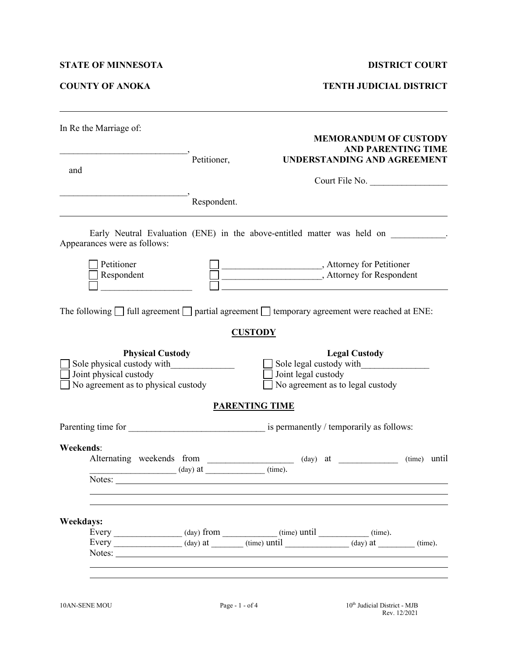## **STATE OF MINNESOTA DISTRICT COURT**

**COUNTY OF ANOKA TENTH JUDICIAL DISTRICT**

| In Re the Marriage of:                               |                   | <b>MEMORANDUM OF CUSTODY</b>                                                                                                                                          |  |  |  |  |  |
|------------------------------------------------------|-------------------|-----------------------------------------------------------------------------------------------------------------------------------------------------------------------|--|--|--|--|--|
|                                                      |                   | <b>AND PARENTING TIME</b>                                                                                                                                             |  |  |  |  |  |
| and                                                  | Petitioner,       | UNDERSTANDING AND AGREEMENT                                                                                                                                           |  |  |  |  |  |
|                                                      |                   | Court File No.                                                                                                                                                        |  |  |  |  |  |
|                                                      | Respondent.       |                                                                                                                                                                       |  |  |  |  |  |
| Appearances were as follows:                         |                   | Early Neutral Evaluation (ENE) in the above-entitled matter was held on                                                                                               |  |  |  |  |  |
| Petitioner                                           |                   | Attorney for Petitioner                                                                                                                                               |  |  |  |  |  |
| Respondent                                           |                   |                                                                                                                                                                       |  |  |  |  |  |
|                                                      |                   | The following $\Box$ full agreement $\Box$ partial agreement $\Box$ temporary agreement were reached at ENE:                                                          |  |  |  |  |  |
|                                                      |                   | <b>CUSTODY</b>                                                                                                                                                        |  |  |  |  |  |
| <b>Physical Custody</b>                              |                   | <b>Legal Custody</b>                                                                                                                                                  |  |  |  |  |  |
| Sole physical custody with<br>Joint physical custody |                   | Sole legal custody with<br>Joint legal custody                                                                                                                        |  |  |  |  |  |
| No agreement as to physical custody                  |                   | No agreement as to legal custody                                                                                                                                      |  |  |  |  |  |
|                                                      |                   | <b>PARENTING TIME</b>                                                                                                                                                 |  |  |  |  |  |
|                                                      |                   |                                                                                                                                                                       |  |  |  |  |  |
| <b>Weekends:</b>                                     |                   |                                                                                                                                                                       |  |  |  |  |  |
|                                                      |                   | Alternating weekends from ___________________ (day) at __________________________<br>(time) until                                                                     |  |  |  |  |  |
| Notes:                                               | $(\text{day})$ at | (time).                                                                                                                                                               |  |  |  |  |  |
| <b>Weekdays:</b>                                     |                   |                                                                                                                                                                       |  |  |  |  |  |
|                                                      |                   | Every $\begin{array}{c} \begin{array}{c} \text{[time]} \\ \text{[time]} \end{array} \end{array}$ (time) $\begin{array}{c} \text{[time]} \\ \text{[time]} \end{array}$ |  |  |  |  |  |
|                                                      |                   | Every ________________ (day) at _______ (time) until ____________ (day) at _______ (time).                                                                            |  |  |  |  |  |
|                                                      |                   |                                                                                                                                                                       |  |  |  |  |  |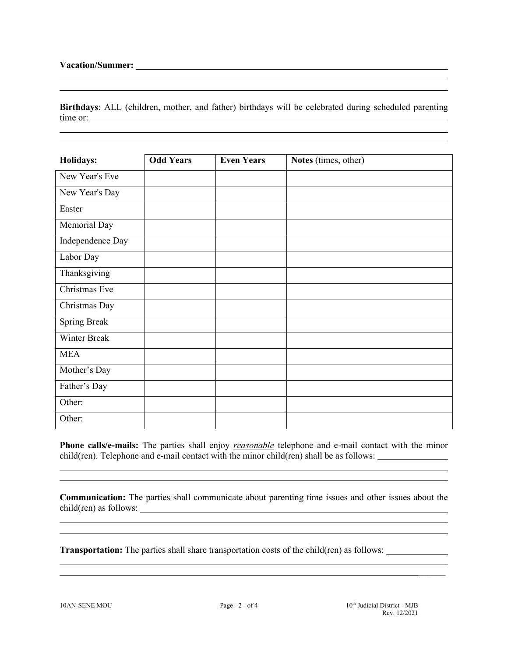**Birthdays**: ALL (children, mother, and father) birthdays will be celebrated during scheduled parenting time or:

| Holidays:        | <b>Odd Years</b> | <b>Even Years</b> | Notes (times, other) |  |
|------------------|------------------|-------------------|----------------------|--|
| New Year's Eve   |                  |                   |                      |  |
| New Year's Day   |                  |                   |                      |  |
| Easter           |                  |                   |                      |  |
| Memorial Day     |                  |                   |                      |  |
| Independence Day |                  |                   |                      |  |
| Labor Day        |                  |                   |                      |  |
| Thanksgiving     |                  |                   |                      |  |
| Christmas Eve    |                  |                   |                      |  |
| Christmas Day    |                  |                   |                      |  |
| Spring Break     |                  |                   |                      |  |
| Winter Break     |                  |                   |                      |  |
| <b>MEA</b>       |                  |                   |                      |  |
| Mother's Day     |                  |                   |                      |  |
| Father's Day     |                  |                   |                      |  |
| Other:           |                  |                   |                      |  |
| Other:           |                  |                   |                      |  |

**Phone calls/e-mails:** The parties shall enjoy *reasonable* telephone and e-mail contact with the minor child(ren). Telephone and e-mail contact with the minor child(ren) shall be as follows:

**Communication:** The parties shall communicate about parenting time issues and other issues about the child(ren) as follows:

the control of the control of the control of the control of the control of the control of the control of the control of the control of the control of the control of the control of the control of the control of the control

**Transportation:** The parties shall share transportation costs of the child(ren) as follows:

 $\overline{\phantom{a}}$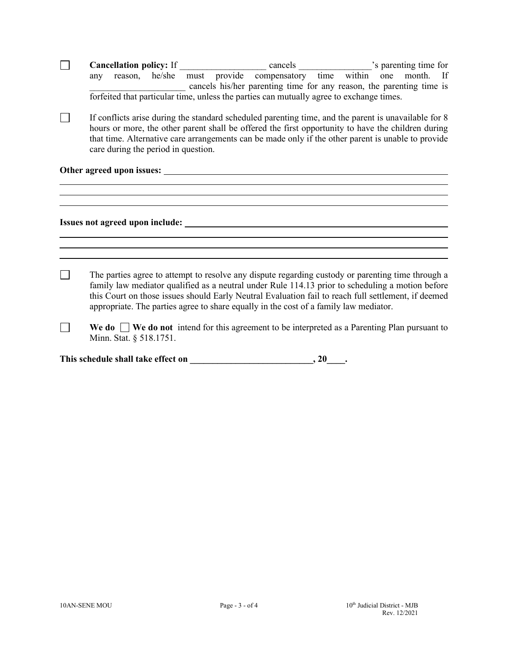|  |     |                         | Cancellation policy: If _______     |  |                                                                                                                                                                                                                                                                                                                                                                                                       |  |           |  |
|--|-----|-------------------------|-------------------------------------|--|-------------------------------------------------------------------------------------------------------------------------------------------------------------------------------------------------------------------------------------------------------------------------------------------------------------------------------------------------------------------------------------------------------|--|-----------|--|
|  | any |                         |                                     |  | reason, he/she must provide compensatory time within one                                                                                                                                                                                                                                                                                                                                              |  | month. If |  |
|  |     |                         |                                     |  | cancels his/her parenting time for any reason, the parenting time is                                                                                                                                                                                                                                                                                                                                  |  |           |  |
|  |     |                         |                                     |  | forfeited that particular time, unless the parties can mutually agree to exchange times.                                                                                                                                                                                                                                                                                                              |  |           |  |
|  |     |                         | care during the period in question. |  | If conflicts arise during the standard scheduled parenting time, and the parent is unavailable for 8<br>hours or more, the other parent shall be offered the first opportunity to have the children during<br>that time. Alternative care arrangements can be made only if the other parent is unable to provide                                                                                      |  |           |  |
|  |     |                         |                                     |  |                                                                                                                                                                                                                                                                                                                                                                                                       |  |           |  |
|  |     |                         |                                     |  |                                                                                                                                                                                                                                                                                                                                                                                                       |  |           |  |
|  |     |                         |                                     |  |                                                                                                                                                                                                                                                                                                                                                                                                       |  |           |  |
|  |     |                         |                                     |  |                                                                                                                                                                                                                                                                                                                                                                                                       |  |           |  |
|  |     |                         |                                     |  |                                                                                                                                                                                                                                                                                                                                                                                                       |  |           |  |
|  |     |                         |                                     |  |                                                                                                                                                                                                                                                                                                                                                                                                       |  |           |  |
|  |     |                         |                                     |  |                                                                                                                                                                                                                                                                                                                                                                                                       |  |           |  |
|  |     |                         |                                     |  |                                                                                                                                                                                                                                                                                                                                                                                                       |  |           |  |
|  |     |                         |                                     |  | The parties agree to attempt to resolve any dispute regarding custody or parenting time through a<br>family law mediator qualified as a neutral under Rule 114.13 prior to scheduling a motion before<br>this Court on those issues should Early Neutral Evaluation fail to reach full settlement, if deemed<br>appropriate. The parties agree to share equally in the cost of a family law mediator. |  |           |  |
|  |     | Minn. Stat. § 518.1751. |                                     |  | We do $\Box$ We do not intend for this agreement to be interpreted as a Parenting Plan pursuant to                                                                                                                                                                                                                                                                                                    |  |           |  |
|  |     |                         |                                     |  |                                                                                                                                                                                                                                                                                                                                                                                                       |  |           |  |
|  |     |                         |                                     |  |                                                                                                                                                                                                                                                                                                                                                                                                       |  |           |  |